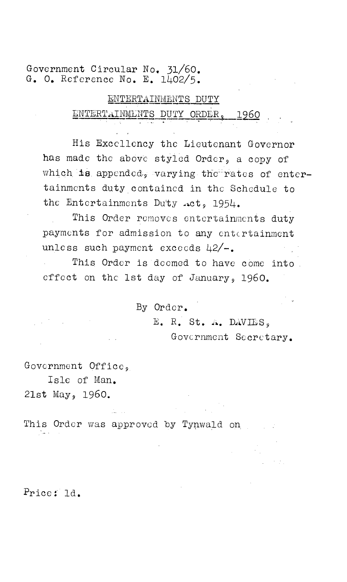Government Circular No. 31/60. G. O. Reference No. E. 1402/5.

# ENTERTAINMENTS DUTY ENTERTAINMENTS DUTY ORDER, 1960

His Excellency the Lieutenant Governor has made the above styled Order, a copy of which is appended, varying the rates of entertainments duty contained in the Schedule to the Entertainments Duty .ct, 1954.

This Order removes entertainments duty payments for admission to any entertainment unless such payment exceeds  $42/-$ .

This Order is deemed to have come into. effect on the 1st day of January, 1960.

By Order.

E. R. St. A. DAVIES. Government Secretary.

Government Office,

Isle of Man. 21st May, 1960.

This Order was approved by Tynwald on.

Price: ld.